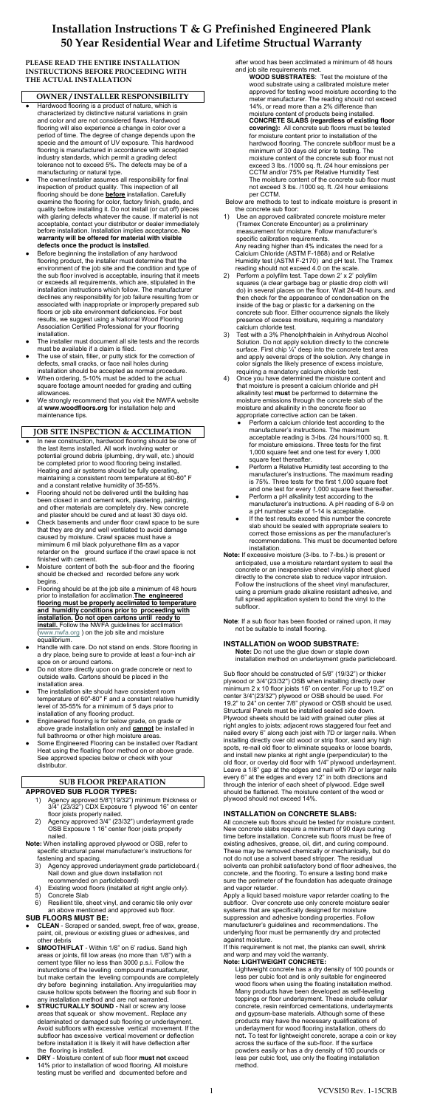## **PLEASE READ THE ENTIRE INSTALLATION INSTRUCTIONS BEFORE PROCEEDING WITH THE ACTUAL INSTALLATION**

## **OWNER / INSTALLER RESPONSIBILITY**

- Hardwood flooring is a product of nature, which is characterized by distinctive natural variations in grain and color and are not considered flaws. Hardwood flooring will also experience a change in color over a period of time. The degree of change depends upon the specie and the amount of UV exposure. This hardwood flooring is manufactured in accordance with accepted industry standards, which permit a grading defect tolerance not to exceed 5%. The defects may be of a manufacturing or natural type.
- The owner/installer assumes all responsibility for final inspection of product quality. This inspection of all flooring should be done **before** installation. Carefully examine the flooring for color, factory finish, grade, and quality before installing it. Do not install (or cut off) pieces with glaring defects whatever the cause. If material is not acceptable, contact your distributor or dealer immediately before installation. Installation implies acceptance**. No warranty will be offered for material with visible defects once the product is installed**.
- Before beginning the installation of any hardwood flooring product, the installer must determine that the environment of the job site and the condition and type of the sub floor involved is acceptable, insuring that it meets or exceeds all requirements, which are, stipulated in the installation instructions which follow. The manufacturer declines any responsibility for job failure resulting from or associated with inappropriate or improperly prepared sub floors or job site environment deficiencies. For best results, we suggest using a National Wood Flooring Association Certified Professional for your flooring installation.
- The installer must document all site tests and the records must be available if a claim is filed.
- The use of stain, filler, or putty stick for the correction of defects, small cracks, or face nail holes during installation should be accepted as normal procedure.
- When ordering, 5-10% must be added to the actual square footage amount needed for grading and cutting allowances.
- We strongly recommend that you visit the NWFA website at **www.woodfloors.org** for installation help and maintenance tips.

- In new construction, hardwood flooring should be one of the last items installed. All work involving water or potential ground debris (plumbing, dry wall, etc.) should be completed prior to wood flooring being installed. Heating and air systems should be fully operating, maintaining a consistent room temperature at  $60-80^{\circ}$  F and a constant relative humidity of 35-55%.
- Flooring should not be delivered until the building has been closed in and cement work, plastering, painting, and other materials are completely dry. New concrete and plaster should be cured and at least 30 days old.
- Check basements and under floor crawl space to be sure that they are dry and well ventilated to avoid damage caused by moisture. Crawl spaces must have a mimimum 6 mil black polyurethane film as a vapor retarder on the ground surface if the crawl space is not finished with cement.
- Moisture content of both the sub-floor and the flooring should be checked and recorded before any work begins.
- Flooring should be at the job site a minimum of 48 hours prior to installation for acclimation.**The engineered flooring must be properly acclimated to temperature and humidity conditions prior to proceeding with installation. Do not open cartons until ready to install.** Follow the NWFA guidelines for acclimation ([www.nwfa.org](http://www.nwfa.org/) ) on the job site and moisture

# **JOB SITE INSPECTION & ACCLIMATION**

- equalibrium.
- Handle with care. Do not stand on ends. Store flooring in a dry place, being sure to provide at least a four-inch air spce on or around cartons.
- Do not store directly upon on grade concrete or next to outside walls. Cartons should be placed in the installation area.
- The installation site should have consistent room temperature of 60 $^{\circ}$ -80 $^{\circ}$  F and a constant relative humidity level of 35-55% for a minimum of 5 days prior to installation of any flooring product.
- Engineered flooring is for below grade, on grade or above grade installation only and **cannot** be installed in full bathrooms or other high moisture areas.
- Some Engineered Flooring can be installed over Radiant Heat using the floating floor method on or above grade. See approved species below or check with your distributor.

## **SUB FLOOR PREPARATION**

#### **APPROVED SUB FLOOR TYPES:**

- Use an approved calibrated concrete moisture meter (Tramex Concrete Encounter) as a preliminary measurement for moisture. Follow manufacturer's specific calibration requirements. Any reading higher than 4% indicates the need for a Calcium Chloride (ASTM F-1868) and or Relative Humidity test (ASTM F-2170) and pH test. The Tramex reading should not exceed 4.0 on the scale.
- 2) Perform a polyfilm test. Tape down 2' x 2' polyfilm squares (a clear garbage bag or plastic drop cloth will do) in several places on the floor. Wait 24-48 hours, and then check for the appearance of condensation on the inside of the bag or plastic for a darkening on the concrete sub floor. Either occurrence signals the likely presence of excess moisture, requiring a mandatory calcium chloride test.
- Test with a 3% Phenolphthalein in Anhydrous Alcohol Solution. Do not apply solution directly to the concrete surface. First chip 1/4" deep into the concrete test area and apply several drops of the solution. Any change in color signals the likely presence of excess moisture, requiring a mandatory calcium chloride test.
- 4) Once you have determined the moisture content and that moisture is present a calcium chloride and pH alkalinity test **must** be performed to determine the moisture emissions through the concrete slab of the moisture and alkalinity in the concrete floor so appropriate corrective action can be taken.
	- Perform a calcium chloride test according to the manufacturer's instructions. The maximum acceptable reading is 3-lbs. /24 hours/1000 sq. ft. for moisture emissions. Three tests for the first 1,000 square feet and one test for every 1,000 square feet thereafter.
	- Perform a Relative Humidity test according to the manufacturer's instructions. The maximum reading is 75%. Three tests for the first 1,000 square feet and one test for every 1,000 square feet thereafter.
	- Perform a pH alkalinity test according to the manufacturer's instructions. A pH reading of 6-9 on a pH number scale of 1-14 is acceptable.
	- If the test results exceed this number the concrete slab should be sealed with appropriate sealers to correct those emissions as per the manufacturer's recommendations. This must be documented before installation.
- **Note:** If excessive moisture (3-lbs. to 7-lbs.) is present or anticipated, use a moisture retardant system to seal the concrete or an inexpensive sheet vinyl/slip sheet glued directly to the concrete slab to reduce vapor intrusion. Follow the instructions of the sheet vinyl manufacturer, using a premium grade alkaline resistant adhesive, and full spread application system to bond the vinyl to the subfloor.

- 1) Agency approved 5/8"(19/32") minimum thickness or 3/4" (23/32") CDX Exposure 1 plywood 16" on center floor joists properly nailed.
- 2) Agency approved 3/4" (23/32") underlayment grade OSB Exposure 1 16" center floor joists properly nailed.
- **Note:** When installing approved plywood or OSB, refer to specific structural panel manufacturer's instructions for fastening and spacing.
	- 3) Agency approved underlayment grade particleboard.( Nail down and glue down installation not recommended on particleboard)
	- 4) Existing wood floors (installed at right angle only).
	- 5) Concrete Slab
	- 6) Resilient tile, sheet vinyl, and ceramic tile only over an above mentioned and approved sub floor.

#### **SUB FLOORS MUST BE:**

- **● CLEAN** Scraped or sanded, swept, free of wax, grease, paint, oil, previous or existing glues or adhesives, and other debris
- **● SMOOTH/FLAT** Within 1/8" on 6' radius. Sand high areas or joints, fill low areas (no more than 1/8") with a cement type filler no less than 3000 p.s.i. Follow the insturctions of the leveling compound manuafacturer, but make certain the leveling compounds are completely dry before beginning installation. Any irregularities may cause hollow spots between the flooring and sub floor in any installation method and are not warranted.
- **STRUCTURALLY SOUND** Nail or screw any loose areas that squeak or show movement.. Replace any delaminated or damaged sub flooring or underlayment. Avoid subfloors with excessive vertical movement. If the subfloor has excessive vertical movement or deflection before installation it is likely it will have deflection after the flooring is installed.
- **● DRY** Moisture content of sub floor **must not** exceed 14% prior to installation of wood flooring. All moisture testing must be verified and documented before and

after wood has been acclimated a minimum of 48 hours and job site requirements met.

**WOOD SUBSTRATES**: Test the moisture of the wood substrate using a calibrated moisture meter approved for testing wood moisture according to the meter manufacturer. The reading should not exceed 14%, or read more than a 2% difference than moisture content of products being installed. **CONCRETE SLABS (regardless of existing floor covering):** All concrete sub floors must be tested for moisture content prior to installation of the hardwood flooring. The concrete subfloor must be a minimum of 30 days old prior to testing. The moisture content of the concrete sub floor must not exceed 3 lbs. /1000 sq. ft. /24 hour emissions per CCTM and/or 75% per Relative Humidity Test The moisture content of the concrete sub floor must not exceed 3 lbs. /1000 sq. ft. /24 hour emissions per CCTM.

Below are methods to test to indicate moisture is present in the concrete sub floor:

**Note**: If a sub floor has been flooded or rained upon, it may not be suitable to install flooring.

#### **INSTALLATION on WOOD SUBSTRATE:**

**Note:** Do not use the glue down or staple down installation method on underlayment grade particleboard.

Sub floor should be constructed of 5/8" (19/32") or thicker plywood or 3/4"(23/32") OSB when installing directly over minimum 2 x 10 floor joists 16" on center. For up to 19.2" on center 3/4"(23/32") plywood or OSB should be used. For 19.2" to 24" on center 7/8" plywood or OSB should be used. Structural Panels must be installed sealed side down. Plywood sheets should be laid with grained outer plies at right angles to joists; adjacent rows staggered four feet and nailed every 6" along each joist with 7D or larger nails. When installing directly over old wood or strip floor, sand any high spots, re-nail old floor to eliminate squeaks or loose boards, and install new planks at right angle (perpendicular) to the old floor, or overlay old floor with 1/4" plywood underlayment. Leave a 1/8" gap at the edges and nail with 7D or larger nails every 6" at the edges and every 12" in both directions and through the interior of each sheet of plywood. Edge swell should be flattened. The moisture content of the wood or plywood should not exceed 14%.

## **INSTALLATION on CONCRETE SLABS:**

All concrete sub floors should be tested for moisture content. New concrete slabs require a minimum of 90 days curing time before installation. Concrete sub floors must be free of existing adhesives, grease, oil, dirt, and curing compound. These may be removed chemically or mechanically, but do not do not use a solvent based stripper. The residual solvents can prohibit satisfactory bond of floor adhesives, the concrete, and the flooring. To ensure a lasting bond make sure the perimeter of the foundation has adequate drainage and vapor retarder.

Apply a liquid based moisture vapor retarder coating to the subfloor. Over concrete use only concrete moisture sealer systems that are specifically designed for moisture suppression and adhesive bonding properties. Follow manufacturer's guidelines and recommendations. The underlying floor must be permanently dry and protected against moisture.

If this requirement is not met, the planks can swell, shrink and warp and may void the warranty.

#### **Note: LIGHTWEIGHT CONCRETE:**

Lightweight concrete has a dry density of 100 pounds or less per cubic foot and is only suitable for engineered wood floors when using the floating installation method. Many products have been developed as self-leveling toppings or floor underlayment. These include cellular concrete, resin reinforced cementations, underlayments and gypsum-base materials. Although some of these products may have the necessary qualifications of underlayment for wood flooring installation, others do not. To test for lightweight concrete, scrape a coin or key across the surface of the sub-floor. If the surface powders easily or has a dry density of 100 pounds or less per cubic foot, use only the floating installation method.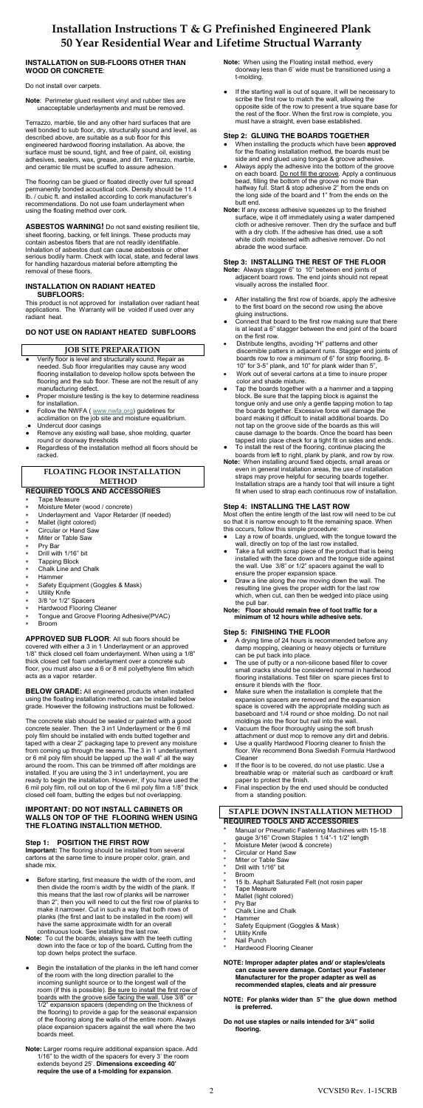## **INSTALLATION on SUB-FLOORS OTHER THAN WOOD OR CONCRETE**:

Do not install over carpets.

**Note**: Perimeter glued resilient vinyl and rubber tiles are unacceptable underlayments and must be removed.

Terrazzo, marble, tile and any other hard surfaces that are well bonded to sub floor, dry, structurally sound and level, as described above, are suitable as a sub floor for this engineered hardwood flooring installation. As above, the surface must be sound, tight, and free of paint, oil, existing adhesives, sealers, wax, grease, and dirt. Terrazzo, marble, and ceramic tile must be scuffed to assure adhesion.

The flooring can be glued or floated directly over full spread permanently bonded acoustical cork. Density should be 11.4 lb. / cubic ft. and installed according to cork manufacturer's recommendations. Do not use foam underlayment when using the floating method over cork.

- Verify floor is level and structurally sound. Repair as needed. Sub floor irregularities may cause any wood flooring installation to develop hollow spots between the flooring and the sub floor. These are not the result of any manufacturing defect.
- Proper moisture testing is the key to determine readiness for installation.
- Follow the NWFA ( [www.nwfa.org](http://www.nwfa.org/)) guidelines for
- acclimation on the job site and moisture equalibrium. Undercut door casings
- Remove any existing wall base, shoe molding, quarter round or doorway thresholds
- Regardless of the installation method all floors should be racked.

**ASBESTOS WARNING!** Do not sand existing resilient tile, sheet flooring, backing, or felt linings. These products may contain asbestos fibers that are not readily identifiable. Inhalation of asbestos dust can cause asbestosis or other serious bodily harm. Check with local, state, and federal laws for handling hazardous material before attempting the removal of these floors.

#### **INSTALLATION ON RADIANT HEATED SUBFLOORS:**

This product is not approved for installation over radiant heat applications. The Warranty will be voided if used over any radiant heat.

# **DO NOT USE ON RADIANT HEATED SUBFLOORS**

# **JOB SITE PREPARATION**

# **FLOATING FLOOR INSTALLATION METHOD**

#### **REQUIRED TOOLS AND ACCESSORIES**

- Tape Measure
- Moisture Meter (wood / concrete)
- Underlayment and Vapor Retarder (If needed)
- Mallet (light colored)
- Circular or Hand Saw
- Miter or Table Saw
- Pry Bar
- Drill with 1/16" bit
- Tapping Block
- Chalk Line and Chalk
- Hammer
- Safety Equipment (Goggles & Mask)
- Utility Knife
- 3/8 "or 1/2" Spacers
- Hardwood Flooring Cleaner
- Tongue and Groove Flooring Adhesive(PVAC)
- Broom
- **APPROVED SUB FLOOR**: All sub floors should be

- Before starting, first measure the width of the room, and then divide the room's width by the width of the plank. If this means that the last row of planks will be narrower than 2", then you will need to cut the first row of planks to make it narrower. Cut in such a way that both rows of planks (the first and last to be installed in the room) will have the same approximate width for an overall continuous look. See installing the last row.
- **Note:** To cut the boards, always saw with the teeth cutting down into the face or top of the board**.** Cutting from the top down helps protect the surface.
- Begin the installation of the planks in the left hand corner of the room with the long direction parallel to the incoming sunlight source or to the longest wall of the room (if this is possible). Be sure to install the first row of boards with the groove side facing the wall. Use 3/8" or 1/2" expansion spacers (depending on the thickness of the flooring) to provide a gap for the seasonal expansion of the flooring along the walls of the entire room. Always place expansion spacers against the wall where the two boards meet.
- **Note:** Larger rooms require additional expansion space. Add 1/16" to the width of the spacers for every 3' the room extends beyond 25'. **Dimensions exceeding 40' require the use of a t-molding for expansion**.

covered with either a 3 in 1 Underlayment or an approved 1/8" thick closed cell foam underlayment. When using a 1/8" thick closed cell foam underlayment over a concrete sub floor, you must also use a 6 or 8 mil polyethylene film which acts as a vapor retarder.

**BELOW GRADE:** All engineered products when installed using the floating installation method, can be installed below grade. However the following instructions must be followed.

- When installing the products which have been **approved** for the floating installation method, the boards must be side and end glued using tongue & groove adhesive.
- Always apply the adhesive into the bottom of the groove on each board. Do not fill the groove. Apply a continuous bead, filling the bottom of the groove no more than halfway full. Start & stop adhesive 2" from the ends on the long side of the board and 1" from the ends on the butt end.
- **Note:** If any excess adhesive squeezes up to the finished surface, wipe it off immediately using a water dampened cloth or adhesive remover. Then dry the surface and buff with a dry cloth. If the adhesive has dried, use a soft white cloth moistened with adhesive remover. Do not abrade the wood surface.

The concrete slab should be sealed or painted with a good concrete sealer. Then the 3 in1 Underlayment or the 6 mil poly film should be installed with ends butted together and taped with a clear 2" packaging tape to prevent any moisture from coming up through the seams. The 3 in 1 underlayment or 6 mil poly film should be lapped up the wall 4" all the way around the room. This can be trimmed off after moldings are installed. If you are using the 3 in1 underlayment, you are ready to begin the installation. However, if you have used the 6 mil poly film, roll out on top of the 6 mil poly film a 1/8" thick closed cell foam, butting the edges but not overlapping.

#### **IMPORTANT: DO NOT INSTALL CABINETS OR WALLS ON TOP OF THE FLOORING WHEN USING THE FLOATING INSTALLTION METHOD.**

#### **Step 1: POSITION THE FIRST ROW**

**Important:** The flooring should be installed from several cartons at the same time to insure proper color, grain, and shade mix.

- After installing the first row of boards, apply the adhesive to the first board on the second row using the above gluing instructions.
- Connect that board to the first row making sure that there is at least a 6" stagger between the end joint of the board on the first row.
- Distribute lengths, avoiding "H" patterns and other discernible patters in adjacent runs. Stagger end joints of boards row to row a minimum of 6" for strip flooring, 8- 10" for 3-5" plank, and 10" for plank wider than 5",
- Work out of several cartons at a time to insure proper color and shade mixture.
- Tap the boards together with a a hammer and a tapping block. Be sure that the tapping block is against the tongue only and use only a gentle tapping motion to tap the boards together. Excessive force will damage the board making it difficult to install additional boards. Do not tap on the groove side of the boards as this will cause damage to the boards. Once the board has been tapped into place check for a tight fit on sides and ends.
- To install the rest of the flooring, continue placing the boards from left to right, plank by plank, and row by row.
- **Note:** When installing around fixed objects, small areas or even in general installation areas, the use of installation straps may prove helpful for securing boards together. Installation straps are a handy tool that will insure a tight fit when used to strap each continuous row of installation.

- Lay a row of boards, unglued, with the tongue toward the wall, directly on top of the last row installed.
- Take a full width scrap piece of the product that is being installed with the face down and the tongue side against the wall. Use 3/8" or 1/2" spacers against the wall to ensure the proper expansion space.
- Draw a line along the row moving down the wall. The resulting line gives the proper width for the last row which, when cut, can then be wedged into place using the pull bar.
- **Note: Floor should remain free of foot traffic for a minimum of 12 hours while adhesive sets.**

- A drying time of 24 hours is recommended before any damp mopping, cleaning or heavy objects or furniture can be put back into place.
- The use of putty or a non-silicone based filler to cover small cracks should be considered normal in hardwood flooring installations. Test filler on spare pieces first to ensure it blends with the floor.
- Make sure when the installation is complete that the expansion spacers are removed and the expansion space is covered with the appropriate molding such as baseboard and 1/4 round or shoe molding. Do not nail moldings into the floor but nail into the wall.
- Vacuum the floor thoroughly using the soft brush attachment or dust mop to remove any dirt and debris.
- Use a quality Hardwood Flooring cleaner to finish the floor. We recommend Bona Swedish Formula Hardwood Cleaner
- If the floor is to be covered, do not use plastic. Use a breathable wrap or material such as cardboard or kraft paper to protect the finish.
- Final inspection by the end used should be conducted from a standing position.

- Manual or Pneumatic Fastening Machines with 15-18 gauge 3/16" Crown Staples 1 1/4"-1 1/2" length
- Moisture Meter (wood & concrete)
- \* Circular or Hand Saw
- Miter or Table Saw
- Drill with 1/16" bit
- **Broom**
- 15 lb. Asphalt Saturated Felt (not rosin paper
- \* Tape Measure
- Mallet (light colored)
- Pry Bar
- Chalk Line and Chalk
- **Hammer**
- Safety Equipment (Goggles & Mask)
- \* Utility Knife
- Nail Punch
- Hardwood Flooring Cleaner
- **NOTE: Improper adapter plates and/ or staples/cleats can cause severe damage. Contact your Fastener Manufacturer for the proper adapter as well as recommended staples, cleats and air pressure**
- **NOTE: For planks wider than 5" the glue down method is preferred.**
- **Do not use staples or nails intended for 3/4" solid flooring.**
- **Note:** When using the Floating install method, every doorway less than 6' wide must be transitioned using a t-molding.
- If the starting wall is out of square, it will be necessary to scribe the first row to match the wall, allowing the opposite side of the row to present a true square base for the rest of the floor. When the first row is complete, you must have a straight, even base established.

#### **Step 2: GLUING THE BOARDS TOGETHER**

## **Step 3: INSTALLING THE REST OF THE FLOOR**

**Note:** Always stagger 6" to 10" between end joints of adjacent board rows. The end joints should not repeat visually across the installed floor.

## **Step 4: INSTALLING THE LAST ROW**

Most often the entire length of the last row will need to be cut so that it is narrow enough to fit the remaining space. When this occurs, follow this simple procedure:

# **Step 5: FINISHING THE FLOOR**

# **STAPLE DOWN INSTALLATION METHOD**

# **REQUIRED TOOLS AND ACCESSORIES**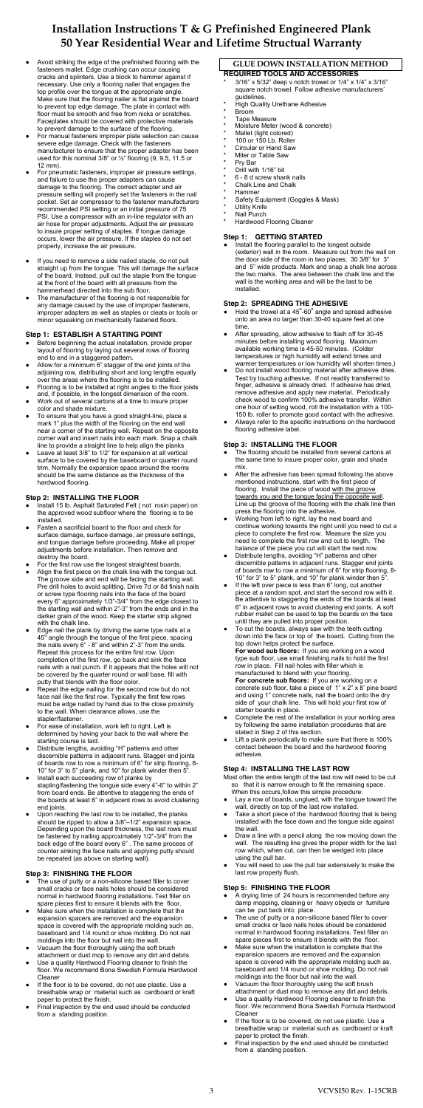- Avoid striking the edge of the prefinished flooring with the fasteners mallet. Edge crushing can occur causing cracks and splinters. Use a block to hammer against if necessary. Use only a flooring nailer that engages the top profile over the tongue at the appropriate angle. Make sure that the flooring nailer is flat against the board to prevent top edge damage. The plate in contact with floor must be smooth and free from nicks or scratches. Faceplates should be covered with protective materials to prevent damage to the surface of the flooring.
- For manual fasteners improper plate selection can cause severe edge damage. Check with the fasteners manufacturer to ensure that the proper adapter has been used for this nominal 3/8" or ½" flooring (9, 9.5, 11.5 or 12 mm).
- For pneumatic fasteners, improper air pressure settings, and failure to use the proper adapters can cause damage to the flooring. The correct adapter and air pressure setting will properly set the fasteners in the nail pocket. Set air compressor to the fastener manufacturers recommended PSI setting or an initial pressure of 75 PSI. Use a compressor with an in-line regulator with an air hose for proper adjustments. Adjust the air pressure to insure proper setting of staples. If tongue damage occurs, lower the air pressure. If the staples do not set properly, increase the air pressure.
- If you need to remove a side nailed staple, do not pull straight up from the tongue. This will damage the surface of the board. Instead, pull out the staple from the tongue at the front of the board with all pressure from the hammerhead directed into the sub floor.
- The manufacturer of the flooring is not responsible for any damage caused by the use of improper fasteners, improper adapters as well as staples or cleats or tools or minor squeaking on mechanically fastened floors.

- Before beginning the actual installation, provide proper layout of flooring by laying out several rows of flooring end to end in a staggered pattern.
- Allow for a minimum 6" stagger of the end joints of the adjoining row, distributing short and long lengths equally over the areas where the flooring is to be installed.
- Flooring is to be installed at right angles to the floor joists and, if possible, in the longest dimension of the room.
- Work out of several cartons at a time to insure proper color and shade mixture.
- To ensure that you have a good straight-line, place a mark 1" plus the width of the flooring on the end wall near a corner of the starting wall. Repeat on the opposite corner wall and insert nails into each mark. Snap a chalk line to provide a straight line to help align the planks
- Leave at least 3/8" to 1/2" for expansion at all vertical surface to be covered by the baseboard or quarter round trim. Normally the expansion space around the rooms should be the same distance as the thickness of the hardwood flooring.

## **Step 1: ESTABLISH A STARTING POINT**

- Repeat the edge nailing for the second row but do not face nail like the first row. Typically the first few rows must be edge nailed by hand due to the close proximity to the wall. When clearance allows, use the stapler/fastener.
- For ease of installation, work left to right. Left is determined by having your back to the wall where the starting course is laid.
- Distribute lengths, avoiding "H" patterns and other discernible patterns in adjacent runs. Stagger end joints of boards row to row a minimum of 6" for strip flooring, 8- 10" for 3" to 5" plank, and 10" for plank winder then 5".
- Install each succeeding row of planks by stapling/fastening the tongue side every 4"-6" to within 2" from board ends. Be attentive to staggering the ends of the boards at least 6" in adjacent rows to avoid clustering end joints.
- Upon reaching the last row to be installed, the planks should be ripped to allow a 3/8"–1/2" expansion space. Depending upon the board thickness, the last rows must be fastened by nailing approximately 1/2"-3/4" from the back edge of the board every 6" . The same process of counter sinking the face nails and applying putty should be repeated (as above on starting wall).

#### **Step 2: INSTALLING THE FLOOR**

- Install 15 lb. Asphalt Saturated Felt (not rosin paper) on the approved wood subfloor where the flooring is to be installed.
- Fasten a sacrificial board to the floor and check for surface damage, surface damage, air pressure settings, and tongue damage before proceeding. Make all proper adjustments before installation. Then remove and destroy the board.
- For the first row use the longest straightest boards.
- Align the first piece on the chalk line with the tongue out. The groove side and end will be facing the starting wall. Pre drill holes to avoid splitting. Drive 7d or 8d finish nails or screw type flooring nails into the face of the board every 6" approximately 1/3"-3/4" from the edge closest to the starting wall and within 2"-3" from the ends and in the darker grain of the wood. Keep the starter strip aligned with the chalk line.
- Edge nail the plank by driving the same type nails at a angle through the tongue of the first pie

- The use of putty or a non-silicone based filler to cover small cracks or face nails holes should be considered normal in hardwood flooring installations. Test filler on spare pieces first to ensure it blends with the floor.
- Make sure when the installation is complete that the expansion spacers are removed and the expansion space is covered with the appropriate molding such as, baseboard and 1/4 round or shoe molding. Do not nail moldings into the floor but nail into the wall.
- Vacuum the floor thoroughly using the soft brush attachment or dust mop to remove any dirt and debris.
- Use a quality Hardwood Flooring cleaner to finish the floor. We recommend Bona Swedish Formula Hardwood Cleaner
- If the floor is to be covered, do not use plastic. Use a breathable wrap or material such as cardboard or kraft paper to protect the finish.
- Final inspection by the end used should be conducted from a standing position.

Install the flooring parallel to the longest outside (exterior) wall in the room. Measure out from the wall on the door side of the room in two places; 30 3/8" for 3" and 5" wide products. Mark and snap a chalk line across the two marks. The area between the chalk line and the wall is the working area and will be the last to be installed.

- $\bullet$  Hold the trowel at a 45°-60° angle and spread adhesive onto an area no larger than 30-40 square feet at one time.
- After spreading, allow adhesive to flash off for 30-45 minutes before installing wood flooring. Maximum available working time is 45-50 minutes. (Colder temperatures or high humidity will extend times and warmer temperatures or low humidity will shorten times.)
- Do not install wood flooring material after adhesive dries. Test by touching adhesive. If not readily transferred to finger, adhesive is already dried. If adhesive has dried, remove adhesive and apply new material. Periodically check wood to confirm 100% adhesive transfer. Within one hour of setting wood, roll the installation with a 100- 150 lb. roller to promote good contact with the adhesive.
- **●** Always refer to the specific instructions on the hardwood flooring adhesive label.

the nails every 6" - 8" and within 2"-3" from the ends. Repeat this process for the entire first row. Upon completion of the first row, go back and sink the face nails with a nail punch. If it appears that the holes will not be covered by the quarter round or wall base, fill with putty that blends with the floor color.

- The flooring should be installed from several cartons at the same time to insure proper color, grain and shade mix.
- After the adhesive has been spread following the above mentioned instructions, start with the first piece of flooring. Install the piece of wood with the groove towards you and the tongue facing the opposite wall. Line up the groove of the flooring with the chalk line then press the flooring into the adhesive.
- Working from left to right, lay the next board and continue working towards the right until you need to cut a piece to complete the first row. Measure the size you need to complete the first row and cut to length. The balance of the piece you cut will start the next row.
- Distribute lengths, avoiding "H" patterns and other discernible patterns in adjacent runs. Stagger end joints of boards row to row a minimum of 6" for strip flooring, 8- 10" for 3" to 5" plank, and 10" for plank winder then 5".
- If the left over piece is less than 6" long, cut another piece at a random spot, and start the second row with it. Be attentive to staggering the ends of the boards at least 6" in adjacent rows to avoid clustering end joints. A soft rubber mallet can be used to tap the boards on the face until they are pulled into proper position.
- To cut the boards, always saw with the teeth cutting down into the face or top of the board**.** Cutting from the

- Complete the rest of the installation in your working area by following the same installation procedures that are stated in Step 2 of this section.
- Lift a plank periodically to make sure that there is 100% contact between the board and the hardwood flooring adhesive.

#### **Step 3: FINISHING THE FLOOR**

- Lay a row of boards, unglued, with the tongue toward the wall, directly on top of the last row installed.
- Take a short piece of the hardwood flooring that is being installed with the face down and the tongue side against the wall.
- Draw a line with a pencil along the row moving down the wall. The resulting line gives the proper width for the last row which, when cut, can then be wedged into place using the pull bar.
- You will need to use the pull bar extensively to make the last row properly flush.

- A drying time of 24 hours is recommended before any damp mopping, cleaning or heavy objects or furniture can be put back into place.
- The use of putty or a non-silicone based filler to cover small cracks or face nails holes should be considered normal in hardwood flooring installations. Test filler on spare pieces first to ensure it blends with the floor.
- Make sure when the installation is complete that the expansion spacers are removed and the expansion space is covered with the appropriate molding such as, baseboard and 1/4 round or shoe molding. Do not nail moldings into the floor but nail into the wall.
- Vacuum the floor thoroughly using the soft brush attachment or dust mop to remove any dirt and debris.
- Use a quality Hardwood Flooring cleaner to finish the floor. We recommend Bona Swedish Formula Hardwood Cleaner
- If the floor is to be covered, do not use plastic. Use a breathable wrap or material such as cardboard or kraft paper to protect the finish.
- Final inspection by the end used should be conducted from a standing position.

### **GLUE DOWN INSTALLATION METHOD REQUIRED TOOLS AND ACCESSORIES**

- 3/16" x 5/32" deep v notch trowel or 1/4" x 1/4" x 3/16" square notch trowel. Follow adhesive manufacturers' guidelines.
- **High Quality Urethane Adhesive**
- \* Broom
- Tape Measure
- Moisture Meter (wood & concrete)
- Mallet (light colored)
- 100 or 150 Lb. Roller
- Circular or Hand Saw
- Miter or Table Saw
- Pry Bar
- Drill with 1/16" bit
- 6 8 d screw shank nails
- Chalk Line and Chalk
- **Hammer**
- Safety Equipment (Goggles & Mask)
- **Utility Knife**
- Nail Punch
- Hardwood Flooring Cleaner

## **Step 1: GETTING STARTED**

## **Step 2: SPREADING THE ADHESIVE**

# **Step 3: INSTALLING THE FLOOR**

top down helps protect the surface.

**For wood sub floors:** If you are working on a wood type sub floor, use small finishing nails to hold the first row in place. Fill nail holes with filler which is manufactured to blend with your flooring. **For concrete sub floors:** If you are working on a concrete sub floor, take a piece of 1" x 2" x 8' pine board and using 1" concrete nails, nail the board onto the dry side of your chalk line. This will hold your first row of starter boards in place.

#### **Step 4: INSTALLING THE LAST ROW**

Most often the entire length of the last row will need to be cut so that it is narrow enough to fit the remaining space. When this occurs,follow this simple procedure:

#### **Step 5: FINISHING THE FLOOR**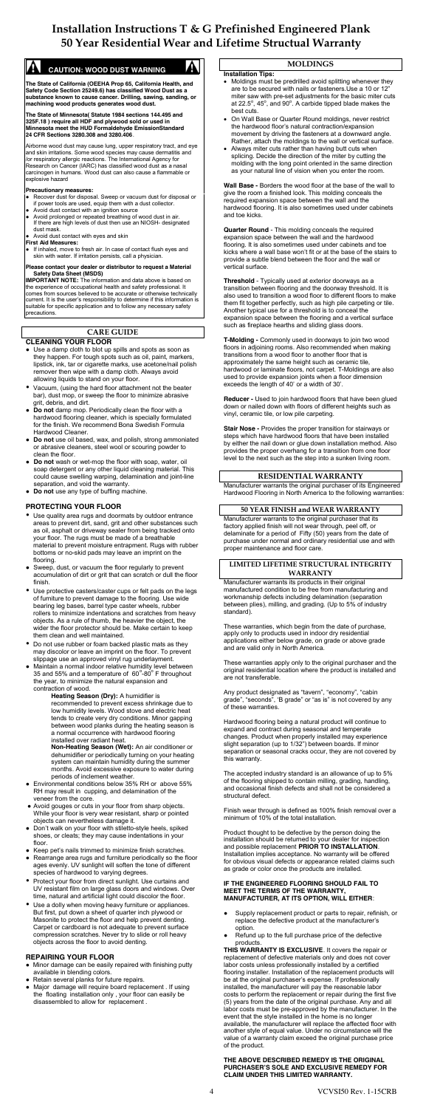

# **CAUTION: WOOD DUST WARNING**

**The State of California (OEEHA Prop 65, California Health, and Safety Code Section 25249.6) has classified Wood Dust as a substance known to cause cancer. Drilling, sawing, sanding, or machining wood products generates wood dust.**

**The State of Minnesota( Statute 1984 sections 144.495 and 325F.18 ) require all HDF and plywood sold or used in Minnesota meet the HUD Formaldehyde EmissionStandard 24 CFR Sections 3280.308 and 3280.406**.

Airborne wood dust may cause lung, upper respiratory tract, and eye and skin irritations. Some wood species may cause dermatitis and /or respiratory allergic reactions. The International Agency for Research on Cancer (IARC) has classified wood dust as a nasal carcinogen in humans. Wood dust can also cause a flammable or explosive hazard

#### **Precautionary measures:**

- Recover dust for disposal. Sweep or vacuum dust for disposal or if power tools are used, equip them with a dust collector.
- Avoid dust contact with an ignition source Avoid prolonged or repeated breathing of wood dust in air. If there are high levels of dust then use an NIOSH- designated dust mask.
- Avoid dust contact with eyes and skin

#### **First Aid Measures:**

● If inhaled, move to fresh air. In case of contact flush eyes and skin with water. If irritation persists, call a physician.

#### **Please contact your dealer or distributor to request a Material Safety Data Sheet (MSDS)**

**IMPORTANT NOTE:** The information and data above is based on the experience of occupational health and safety professional. It comes from sources believed to be accurate or otherwise technically current. It is the user's responsibility to determine if this information is suitable for specific application and to follow any necessary safety precautions.

- Use quality area rugs and doormats by outdoor entrance areas to prevent dirt, sand, grit and other substances such as oil, asphalt or driveway sealer from being tracked onto your floor. The rugs must be made of a breathable material to prevent moisture entrapment. Rugs with rubber bottoms or no-skid pads may leave an imprint on the flooring.
- Sweep, dust, or vacuum the floor regularly to prevent accumulation of dirt or grit that can scratch or dull the floor finish.
- Use protective casters/caster cups or felt pads on the legs of furniture to prevent damage to the flooring. Use wide bearing leg bases, barrel type caster wheels, rubber rollers to minimize indentations and scratches from heavy objects. As a rule of thumb, the heavier the object, the wider the floor protector should be. Make certain to keep them clean and well maintained.

# **CARE GUIDE**

#### **CLEANING YOUR FLOOR**

- Do not use rubber or foam backed plastic mats as they may discolor or leave an imprint on the floor. To prevent slippage use an approved vinyl rug underlayment.
- Maintain a normal indoor relative humidity level between 35 and 55% and a temperature of  $60^{\circ}$ -80 $^{\circ}$  F throughout the year, to minimize the natural expansion and contraction of wood.
- Use a damp cloth to blot up spills and spots as soon as they happen. For tough spots such as oil, paint, markers, lipstick, ink, tar or cigarette marks, use acetone/nail polish remover then wipe with a damp cloth. Always avoid allowing liquids to stand on your floor.
- y Vacuum, (using the hard floor attachment not the beater bar), dust mop, or sweep the floor to minimize abrasive grit, debris, and dirt.
- **Do not** damp mop. Periodically clean the floor with a hardwood flooring cleaner, which is specially formulated for the finish. We recommend Bona Swedish Formula Hardwood Cleaner.
- **● Do not** use oil based, wax, and polish, strong ammoniated or abrasive cleaners, steel wool or scouring powder to clean the floor.
- **Do not** wash or wet-mop the floor with soap, water, oil soap detergent or any other liquid cleaning material. This could cause swelling warping, delamination and joint-line separation, and void the warranty.
- **Do not** use any type of buffing machine.

#### **PROTECTING YOUR FLOOR**

- Moldings must be predrilled avoid splitting whenever they are to be secured with nails or fasteners.Use a 10 or 12" miter saw with pre-set adjustments for the basic miter cuts at 22.5 $^{\circ}$ , 45 $^{\circ}$ , and 90 $^{\circ}$ . A carbide tipped blade makes the best cuts.
- On Wall Base or Quarter Round moldings, never restrict the hardwood floor's natural contraction/expansion movement by driving the fasteners at a downward angle. Rather, attach the moldings to the wall or vertical surface.
- Always miter cuts rather than having butt cuts when splicing. Decide the direction of the miter by cutting the molding with the long point oriented in the same direction as your natural line of vision when you enter the room.

**Heating Season (Dry):** A humidifier is recommended to prevent excess shrinkage due to low humidity levels. Wood stove and electric heat tends to create very dry conditions. Minor gapping between wood planks during the heating season is a normal occurrence with hardwood flooring installed over radiant heat.

**Non-Heating Season (Wet):** An air conditioner or dehumidifier or periodically turning on your heating system can maintain humidity during the summer months. Avoid excessive exposure to water during periods of inclement weather.

- Environmental conditions below 35% RH or above 55% RH may result in cupping, and delamination of the veneer from the core.
- Avoid gouges or cuts in your floor from sharp objects. While your floor is very wear resistant, sharp or pointed objects can nevertheless damage it.
- Don't walk on your floor with stiletto-style heels, spiked shoes, or cleats; they may cause indentations in your floor.
- Keep pet's nails trimmed to minimize finish scratches.
- Rearrange area rugs and furniture periodically so the floor ages evenly. UV sunlight will soften the tone of different species of hardwood to varying degrees.
- Protect your floor from direct sunlight. Use curtains and UV resistant film on large glass doors and windows. Over time, natural and artificial light could discolor the floor.
- Use a dolly when moving heavy furniture or appliances. But first, put down a sheet of quarter inch plywood or Masonite to protect the floor and help prevent denting. Carpet or cardboard is not adequate to prevent surface compression scratches. Never try to slide or roll heavy objects across the floor to avoid denting.
- Supply replacement product or parts to repair, refinish, or replace the defective product at the manufacturer's option.
- Refund up to the full purchase price of the defective products.

#### **REPAIRING YOUR FLOOR**

- Minor damage can be easily repaired with finishing putty available in blending colors.
- Retain several planks for future repairs.
- Major damage will require board replacement . If using the floating installation only , your floor can easily be disassembled to allow for replacement .

## **MOLDINGS**

#### **Installation Tips:**

**Wall Base -** Borders the wood floor at the base of the wall to give the room a finished look. This molding conceals the required expansion space between the wall and the hardwood flooring. It is also sometimes used under cabinets and toe kicks.

**Quarter Round** - This molding conceals the required expansion space between the wall and the hardwood flooring. It is also sometimes used under cabinets and toe kicks where a wall base won't fit or at the base of the stairs to provide a subtle blend between the floor and the wall or vertical surface.

**Threshold** - Typically used at exterior doorways as a transition between flooring and the doorway threshold. It is also used to transition a wood floor to different floors to make them fit together perfectly, such as high pile carpeting or tile. Another typical use for a threshold is to conceal the expansion space between the flooring and a vertical surface such as fireplace hearths and sliding glass doors.

**T-Molding -** Commonly used in doorways to join two wood floors in adjoining rooms. Also recommended when making transitions from a wood floor to another floor that is approximately the same height such as ceramic tile, hardwood or laminate floors, not carpet. T-Moldings are also used to provide expansion joints when a floor dimension exceeds the length of 40' or a width of 30'.

**Reducer -** Used to join hardwood floors that have been glued down or nailed down with floors of different heights such as vinyl, ceramic tile, or low pile carpeting.

**Stair Nose -** Provides the proper transition for stairways or steps which have hardwood floors that have been installed by either the nail down or glue down installation method. Also provides the proper overhang for a transition from one floor level to the next such as the step into a sunken living room.

#### **RESIDENTIAL WARRANTY**

Manufacturer warrants the original purchaser of its Engineered Hardwood Flooring in North America to the following warranties:

#### **50 YEAR FINISH and WEAR WARRANTY**

Manufacturer warrants to the original purchaser that its factory applied finish will not wear through, peel off, or delaminate for a period of Fifty (50) years from the date of purchase under normal and ordinary residential use and with proper maintenance and floor care.

#### **LIMITED LIFETIME STRUCTURAL INTEGRITY WARRANTY**

Manufacturer warrants its products in their original manufactured condition to be free from manufacturing and workmanship defects including delamination (separation between plies), milling, and grading. (Up to 5% of industry standard).

These warranties, which begin from the date of purchase, apply only to products used in indoor dry residential applications either below grade, on grade or above grade and are valid only in North America.

These warranties apply only to the original purchaser and the original residential location where the product is installed and are not transferable.

Any product designated as "tavern", "economy", "cabin grade", "seconds", 'B grade" or "as is" is not covered by any of these warranties.

Hardwood flooring being a natural product will continue to expand and contract during seasonal and temperate changes. Product when properly installed may experience slight separation (up to 1/32") between boards. If minor separation or seasonal cracks occur, they are not covered by this warranty.

The accepted industry standard is an allowance of up to 5% of the flooring shipped to contain milling, grading, handling, and occasional finish defects and shall not be considered a structural defect.

Finish wear through is defined as 100% finish removal over a minimum of 10% of the total installation.

Product thought to be defective by the person doing the installation should be returned to your dealer for inspection and possible replacement **PRIOR TO INSTALLATION**. Installation implies acceptance. No warranty will be offered for obvious visual defects or appearance related claims such as grade or color once the products are installed.

#### **IF THE ENGINEERED FLOORING SHOULD FAIL TO MEET THE TERMS OF THE WARRANTY, MANUFACTURER, AT ITS OPTION, WILL EITHER**:

**THIS WARRANTY IS EXCLUSIVE**. It covers the repair or replacement of defective materials only and does not cover labor costs unless professionally installed by a certified flooring installer. Installation of the replacement products will be at the original purchaser's expense. If professionally installed, the manufacturer will pay the reasonable labor costs to perform the replacement or repair during the first five (5) years from the date of the original purchase. Any and all labor costs must be pre-approved by the manufacturer. In the event that the style installed in the home is no longer available, the manufacturer will replace the affected floor with another style of equal value. Under no circumstance will the value of a warranty claim exceed the original purchase price of the product.

#### **THE ABOVE DESCRIBED REMEDY IS THE ORIGINAL PURCHASER'S SOLE AND EXCLUSIVE REMEDY FOR CLAIM UNDER THIS LIMITED WARRANTY.**